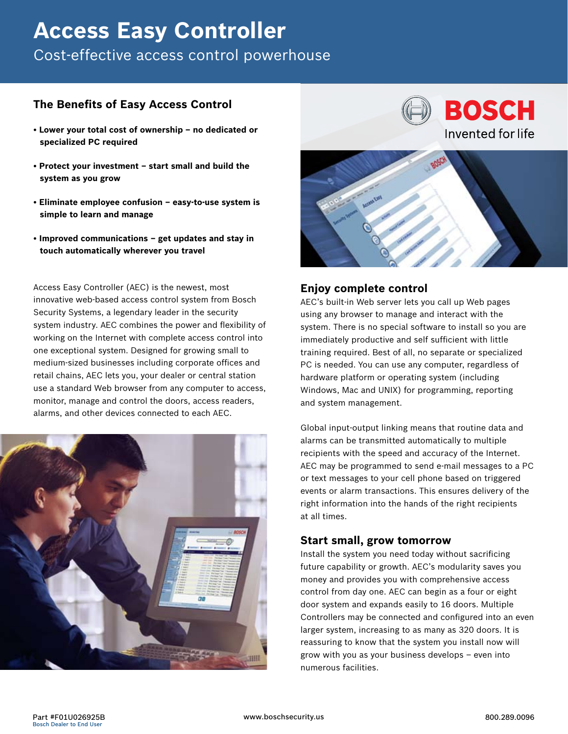# **Access Easy Controller**

Cost-effective access control powerhouse

## **The Benefits of Easy Access Control**

- **Lower your total cost of ownership no dedicated or specialized PC required**
- **Protect your investment start small and build the system as you grow**
- **Eliminate employee confusion easy-to-use system is simple to learn and manage**
- **Improved communications get updates and stay in touch automatically wherever you travel**

Access Easy Controller (AEC) is the newest, most innovative web-based access control system from Bosch Security Systems, a legendary leader in the security system industry. AEC combines the power and flexibility of working on the Internet with complete access control into one exceptional system. Designed for growing small to medium-sized businesses including corporate offices and retail chains, AEC lets you, your dealer or central station use a standard Web browser from any computer to access, monitor, manage and control the doors, access readers, alarms, and other devices connected to each AEC.





## **Enjoy complete control**

AEC's built-in Web server lets you call up Web pages using any browser to manage and interact with the system. There is no special software to install so you are immediately productive and self sufficient with little training required. Best of all, no separate or specialized PC is needed. You can use any computer, regardless of hardware platform or operating system (including Windows, Mac and UNIX) for programming, reporting and system management.

Global input-output linking means that routine data and alarms can be transmitted automatically to multiple recipients with the speed and accuracy of the Internet. AEC may be programmed to send e-mail messages to a PC or text messages to your cell phone based on triggered events or alarm transactions. This ensures delivery of the right information into the hands of the right recipients at all times.

## **Start small, grow tomorrow**

Install the system you need today without sacrificing future capability or growth. AEC's modularity saves you money and provides you with comprehensive access control from day one. AEC can begin as a four or eight door system and expands easily to 16 doors. Multiple Controllers may be connected and configured into an even larger system, increasing to as many as 320 doors. It is reassuring to know that the system you install now will grow with you as your business develops – even into numerous facilities.